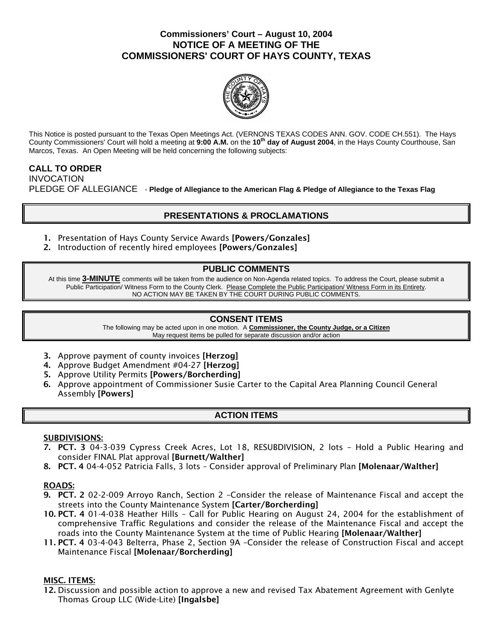### **Commissioners' Court – August 10, 2004 NOTICE OF A MEETING OF THE COMMISSIONERS' COURT OF HAYS COUNTY, TEXAS**



This Notice is posted pursuant to the Texas Open Meetings Act. (VERNONS TEXAS CODES ANN. GOV. CODE CH.551). The Hays County Commissioners' Court will hold a meeting at **9:00 A.M.** on the **10th day of August 2004**, in the Hays County Courthouse, San Marcos, Texas. An Open Meeting will be held concerning the following subjects:

### **CALL TO ORDER**

INVOCATION PLEDGE OF ALLEGIANCE - **Pledge of Allegiance to the American Flag & Pledge of Allegiance to the Texas Flag** 

# **PRESENTATIONS & PROCLAMATIONS**

- 1. Presentation of Hays County Service Awards [Powers/Gonzales]
- 2. Introduction of recently hired employees [Powers/Gonzales]

### **PUBLIC COMMENTS**

At this time **3-MINUTE** comments will be taken from the audience on Non-Agenda related topics. To address the Court, please submit a Public Participation/ Witness Form to the County Clerk. Please Complete the Public Participation/ Witness Form in its Entirety. NO ACTION MAY BE TAKEN BY THE COURT DURING PUBLIC COMMENTS.

### **CONSENT ITEMS**

The following may be acted upon in one motion. A **Commissioner, the County Judge, or a Citizen** May request items be pulled for separate discussion and/or action

- 3. Approve payment of county invoices [Herzog]
- 4. Approve Budget Amendment #04-27 [Herzog]
- 5. Approve Utility Permits [Powers/Borcherding]
- 6. Approve appointment of Commissioner Susie Carter to the Capital Area Planning Council General Assembly [Powers]

## **ACTION ITEMS**

### SUBDIVISIONS:

- 7. PCT. 3 04-3-039 Cypress Creek Acres, Lot 18, RESUBDIVISION, 2 lots Hold a Public Hearing and consider FINAL Plat approval [Burnett/Walther]
- 8. PCT. 4 04-4-052 Patricia Falls, 3 lots Consider approval of Preliminary Plan [Molenaar/Walther]

### ROADS:

- 9. PCT. 2 02-2-009 Arroyo Ranch, Section 2 –Consider the release of Maintenance Fiscal and accept the streets into the County Maintenance System [Carter/Borcherding]
- 10. PCT. 4 01-4-038 Heather Hills Call for Public Hearing on August 24, 2004 for the establishment of comprehensive Traffic Regulations and consider the release of the Maintenance Fiscal and accept the roads into the County Maintenance System at the time of Public Hearing [Molenaar/Walther]
- 11. PCT. 4 03-4-043 Belterra, Phase 2, Section 9A –Consider the release of Construction Fiscal and accept Maintenance Fiscal [Molenaar/Borcherding]

### MISC. ITEMS:

12. Discussion and possible action to approve a new and revised Tax Abatement Agreement with Genlyte Thomas Group LLC (Wide-Lite) [Ingalsbe]